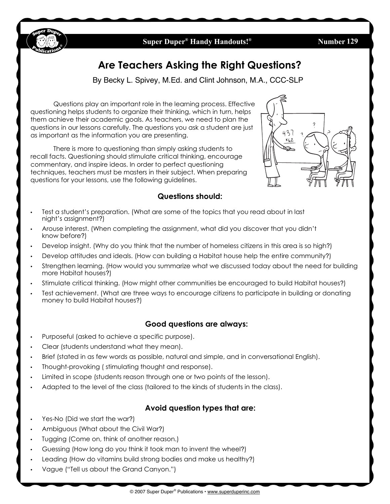

### **Super Duper<sup>®</sup> Handy Handouts!<sup>®</sup>**

**129**

# **Are Teachers Asking the Right Questions?**

By Becky L. Spivey, M.Ed. and Clint Johnson, M.A., CCC-SLP

Questions play an important role in the learning process. Effective questioning helps students to organize their thinking, which in turn, helps them achieve their academic goals. As teachers, we need to plan the questions in our lessons carefully. The questions you ask a student are just as important as the information you are presenting.

There is more to questioning than simply asking students to recall facts. Questioning should stimulate critical thinking, encourage commentary, and inspire ideas. In order to perfect questioning techniques, teachers must be masters in their subject. When preparing questions for your lessons, use the following guidelines.



### **Questions should:**

- Test a student's preparation. (What are some of the topics that you read about in last night's assignment?)
- Arouse interest. (When completing the assignment, what did you discover that you didn't know before?)
- Develop insight. (Why do you think that the number of homeless citizens in this area is so high?)
- Develop attitudes and ideals. (How can building a Habitat house help the entire community?)
- Strengthen learning. (How would you summarize what we discussed today about the need for building more Habitat houses?)
- Stimulate critical thinking. (How might other communities be encouraged to build Habitat houses?)
- Test achievement. (What are three ways to encourage citizens to participate in building or donating money to build Habitat houses?)

# **Good questions are always:**

- Purposeful (asked to achieve a specific purpose).
- Clear (students understand what they mean).
- Brief (stated in as few words as possible, natural and simple, and in conversational English).
- Thought-provoking ( stimulating thought and response).
- Limited in scope (students reason through one or two points of the lesson).
- Adapted to the level of the class (tailored to the kinds of students in the class).

### **Avoid question types that are:**

• Yes-No (Did we start the war?)

 $\overline{a}$ 

- Ambiguous (What about the Civil War?)
- Tugging (Come on, think of another reason.)
- Guessing (How long do you think it took man to invent the wheel?)
- Leading (How do vitamins build strong bodies and make us healthy?)
- Vague ("Tell us about the Grand Canyon.")